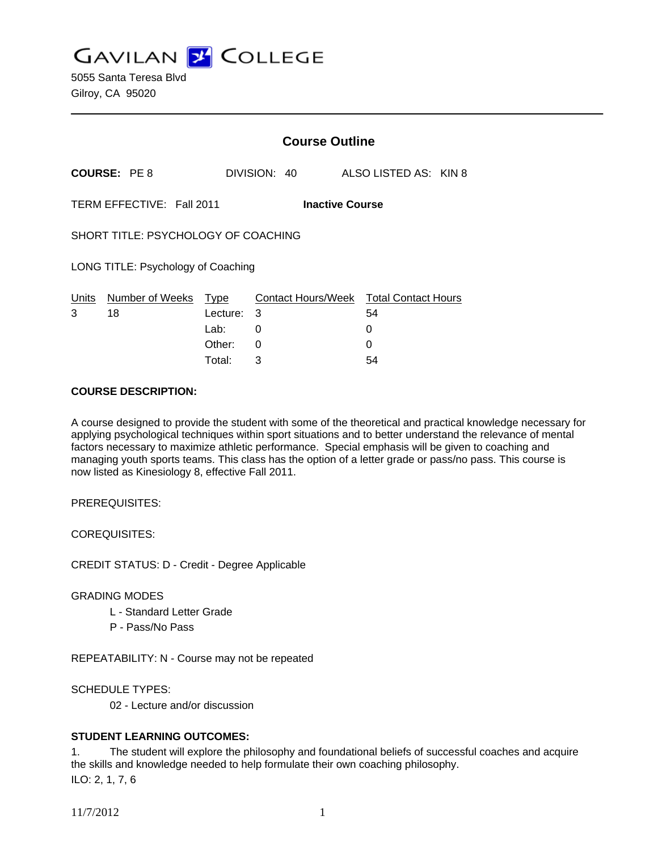**GAVILAN Z COLLEGE** 

|                                                     |                       | <b>Course Outline</b> |              |                       |                                        |  |
|-----------------------------------------------------|-----------------------|-----------------------|--------------|-----------------------|----------------------------------------|--|
|                                                     | <b>COURSE: PE8</b>    |                       | DIVISION: 40 | ALSO LISTED AS: KIN 8 |                                        |  |
| TERM EFFECTIVE: Fall 2011<br><b>Inactive Course</b> |                       |                       |              |                       |                                        |  |
| SHORT TITLE: PSYCHOLOGY OF COACHING                 |                       |                       |              |                       |                                        |  |
| LONG TITLE: Psychology of Coaching                  |                       |                       |              |                       |                                        |  |
| Units<br>3                                          | Number of Weeks<br>18 | Type<br>Lecture: 3    |              | 54                    | Contact Hours/Week Total Contact Hours |  |
|                                                     |                       | Lab:                  | 0            | 0                     |                                        |  |
|                                                     |                       | Other:                | 0            | 0                     |                                        |  |
|                                                     |                       | Total:                | 3            | 54                    |                                        |  |

### **COURSE DESCRIPTION:**

A course designed to provide the student with some of the theoretical and practical knowledge necessary for applying psychological techniques within sport situations and to better understand the relevance of mental factors necessary to maximize athletic performance. Special emphasis will be given to coaching and managing youth sports teams. This class has the option of a letter grade or pass/no pass. This course is now listed as Kinesiology 8, effective Fall 2011.

PREREQUISITES:

COREQUISITES:

CREDIT STATUS: D - Credit - Degree Applicable

# GRADING MODES

- L Standard Letter Grade
- P Pass/No Pass

REPEATABILITY: N - Course may not be repeated

SCHEDULE TYPES:

02 - Lecture and/or discussion

# **STUDENT LEARNING OUTCOMES:**

1. The student will explore the philosophy and foundational beliefs of successful coaches and acquire the skills and knowledge needed to help formulate their own coaching philosophy. ILO: 2, 1, 7, 6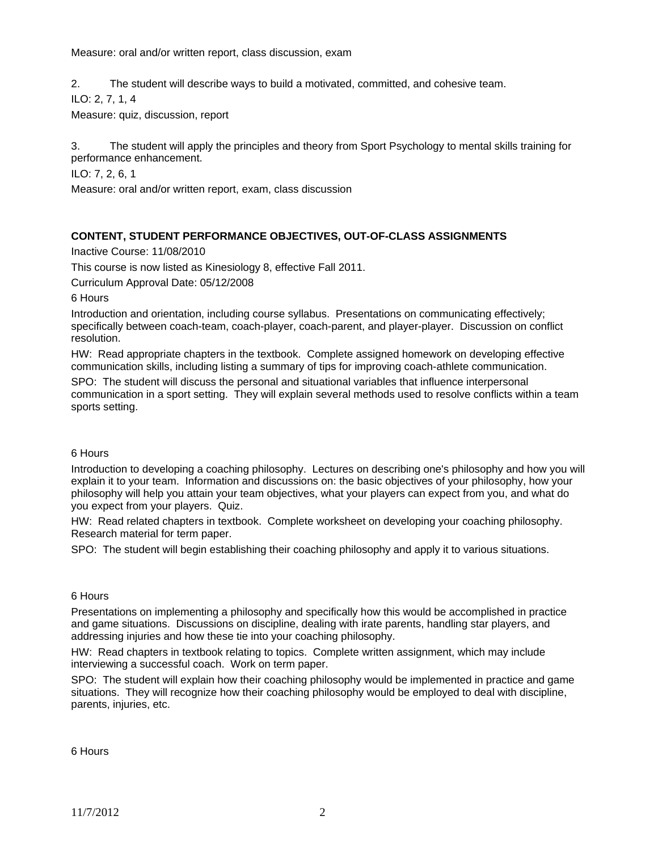Measure: oral and/or written report, class discussion, exam

2. The student will describe ways to build a motivated, committed, and cohesive team.

ILO: 2, 7, 1, 4

Measure: quiz, discussion, report

3. The student will apply the principles and theory from Sport Psychology to mental skills training for performance enhancement.

ILO: 7, 2, 6, 1

Measure: oral and/or written report, exam, class discussion

# **CONTENT, STUDENT PERFORMANCE OBJECTIVES, OUT-OF-CLASS ASSIGNMENTS**

Inactive Course: 11/08/2010

This course is now listed as Kinesiology 8, effective Fall 2011.

Curriculum Approval Date: 05/12/2008

6 Hours

Introduction and orientation, including course syllabus. Presentations on communicating effectively; specifically between coach-team, coach-player, coach-parent, and player-player. Discussion on conflict resolution.

HW: Read appropriate chapters in the textbook. Complete assigned homework on developing effective communication skills, including listing a summary of tips for improving coach-athlete communication.

SPO: The student will discuss the personal and situational variables that influence interpersonal communication in a sport setting. They will explain several methods used to resolve conflicts within a team sports setting.

### 6 Hours

Introduction to developing a coaching philosophy. Lectures on describing one's philosophy and how you will explain it to your team. Information and discussions on: the basic objectives of your philosophy, how your philosophy will help you attain your team objectives, what your players can expect from you, and what do you expect from your players. Quiz.

HW: Read related chapters in textbook. Complete worksheet on developing your coaching philosophy. Research material for term paper.

SPO: The student will begin establishing their coaching philosophy and apply it to various situations.

### 6 Hours

Presentations on implementing a philosophy and specifically how this would be accomplished in practice and game situations. Discussions on discipline, dealing with irate parents, handling star players, and addressing injuries and how these tie into your coaching philosophy.

HW: Read chapters in textbook relating to topics. Complete written assignment, which may include interviewing a successful coach. Work on term paper.

SPO: The student will explain how their coaching philosophy would be implemented in practice and game situations. They will recognize how their coaching philosophy would be employed to deal with discipline, parents, injuries, etc.

6 Hours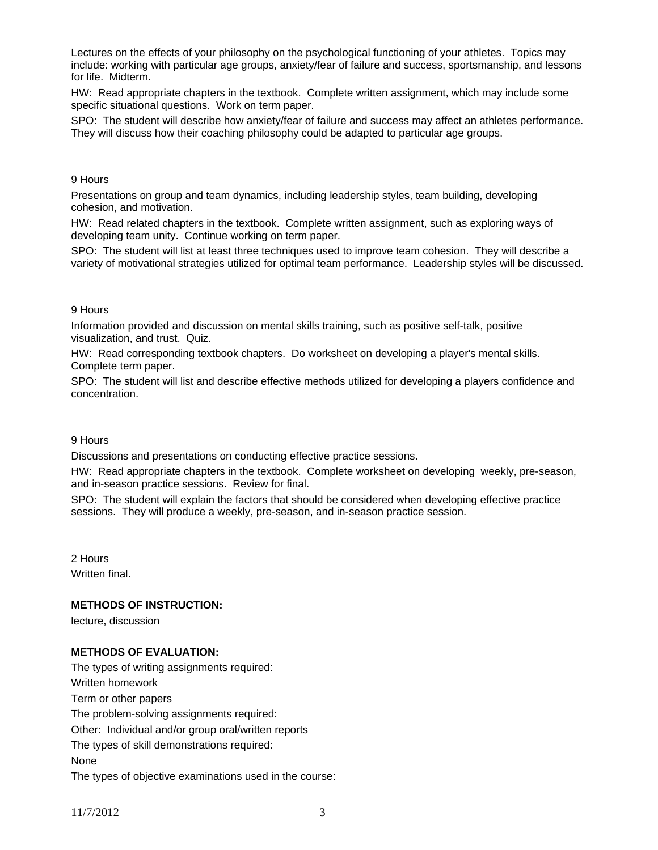Lectures on the effects of your philosophy on the psychological functioning of your athletes. Topics may include: working with particular age groups, anxiety/fear of failure and success, sportsmanship, and lessons for life. Midterm.

HW: Read appropriate chapters in the textbook. Complete written assignment, which may include some specific situational questions. Work on term paper.

SPO: The student will describe how anxiety/fear of failure and success may affect an athletes performance. They will discuss how their coaching philosophy could be adapted to particular age groups.

#### 9 Hours

Presentations on group and team dynamics, including leadership styles, team building, developing cohesion, and motivation.

HW: Read related chapters in the textbook. Complete written assignment, such as exploring ways of developing team unity. Continue working on term paper.

SPO: The student will list at least three techniques used to improve team cohesion. They will describe a variety of motivational strategies utilized for optimal team performance. Leadership styles will be discussed.

#### 9 Hours

Information provided and discussion on mental skills training, such as positive self-talk, positive visualization, and trust. Quiz.

HW: Read corresponding textbook chapters. Do worksheet on developing a player's mental skills. Complete term paper.

SPO: The student will list and describe effective methods utilized for developing a players confidence and concentration.

#### 9 Hours

Discussions and presentations on conducting effective practice sessions.

HW: Read appropriate chapters in the textbook. Complete worksheet on developing weekly, pre-season, and in-season practice sessions. Review for final.

SPO: The student will explain the factors that should be considered when developing effective practice sessions. They will produce a weekly, pre-season, and in-season practice session.

2 Hours Written final.

# **METHODS OF INSTRUCTION:**

lecture, discussion

# **METHODS OF EVALUATION:**

The types of writing assignments required: Written homework Term or other papers The problem-solving assignments required: Other: Individual and/or group oral/written reports The types of skill demonstrations required: None The types of objective examinations used in the course: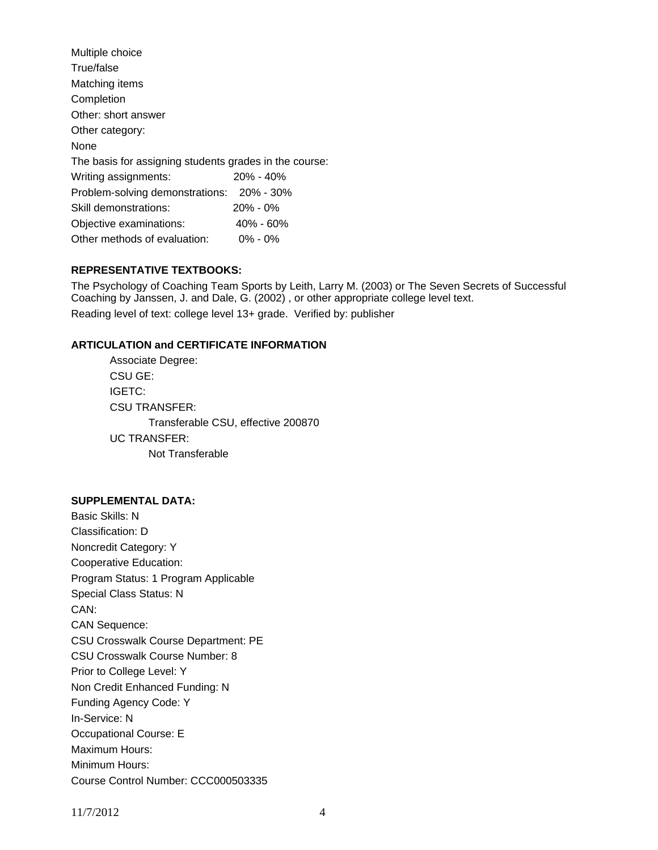| Multiple choice                                        |             |  |  |  |  |
|--------------------------------------------------------|-------------|--|--|--|--|
| True/false                                             |             |  |  |  |  |
| Matching items                                         |             |  |  |  |  |
| Completion                                             |             |  |  |  |  |
| Other: short answer                                    |             |  |  |  |  |
| Other category:                                        |             |  |  |  |  |
| None                                                   |             |  |  |  |  |
| The basis for assigning students grades in the course: |             |  |  |  |  |
| Writing assignments:                                   | 20% - 40%   |  |  |  |  |
| Problem-solving demonstrations:                        | 20% - 30%   |  |  |  |  |
| Skill demonstrations:                                  | 20% - 0%    |  |  |  |  |
| Objective examinations:                                | 40% - 60%   |  |  |  |  |
| Other methods of evaluation:                           | $0\% - 0\%$ |  |  |  |  |

# **REPRESENTATIVE TEXTBOOKS:**

The Psychology of Coaching Team Sports by Leith, Larry M. (2003) or The Seven Secrets of Successful Coaching by Janssen, J. and Dale, G. (2002) , or other appropriate college level text. Reading level of text: college level 13+ grade. Verified by: publisher

# **ARTICULATION and CERTIFICATE INFORMATION**

 Associate Degree: CSU GE: IGETC: CSU TRANSFER: Transferable CSU, effective 200870 UC TRANSFER: Not Transferable

#### **SUPPLEMENTAL DATA:**

Basic Skills: N Classification: D Noncredit Category: Y Cooperative Education: Program Status: 1 Program Applicable Special Class Status: N CAN: CAN Sequence: CSU Crosswalk Course Department: PE CSU Crosswalk Course Number: 8 Prior to College Level: Y Non Credit Enhanced Funding: N Funding Agency Code: Y In-Service: N Occupational Course: E Maximum Hours: Minimum Hours: Course Control Number: CCC000503335